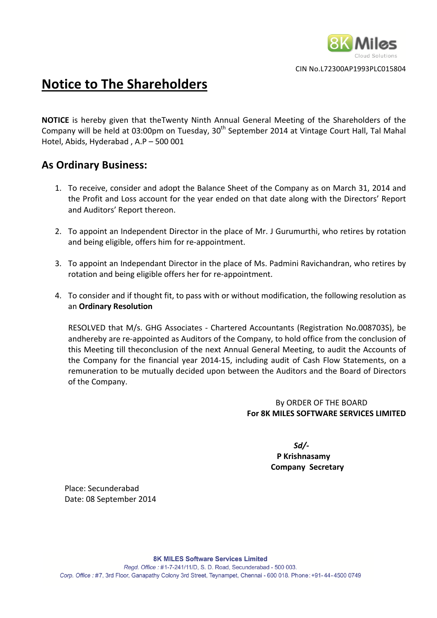

CIN
No.L72300AP1993PLC015804

# **Notice
to
The
Shareholders**

NOTICE is hereby given that theTwenty Ninth Annual General Meeting of the Shareholders of the Company will be held at 03:00pm on Tuesday, 30<sup>th</sup> September 2014 at Vintage Court Hall, Tal Mahal Hotel,
Abids,
Hyderabad
,
A.P
–
500
001

# **As
Ordinary
Business:**

- 1. To receive, consider and adopt the Balance Sheet of the Company as on March 31, 2014 and the
Profit
and
Loss
account
for
the
year
ended
on
that
date
along
with
the
Directors'
Report and
Auditors'
Report
thereon.
- 2. To appoint an Independent Director in the place of Mr. J Gurumurthi, who retires by rotation and
being
eligible,
offers
him
for
re‐appointment.
- 3. To appoint an Independant Director in the place of Ms. Padmini Ravichandran, who retires by rotation
and
being
eligible
offers
her
for
re‐appointment.
- 4. To
consider
and
if
thought
fit,
to
pass
with
or
without
modification,
the
following
resolution
as an **Ordinary
Resolution**

RESOLVED that M/s. GHG Associates - Chartered Accountants (Registration No.008703S), be andhereby are re-appointed as Auditors of the Company, to hold office from the conclusion of this Meeting till theconclusion of the next Annual General Meeting, to audit the Accounts of the Company for the financial year 2014-15, including audit of Cash Flow Statements, on a remuneration to be mutually decided upon between the Auditors and the Board of Directors of
the
Company.

## By
ORDER
OF
THE
BOARD **For
8K
MILES
SOFTWARE
SERVICES
LIMITED**

*Sd/‐*  **P
Krishnasamy Company

Secretary**

Place:
Secunderabad Date:
08
September
2014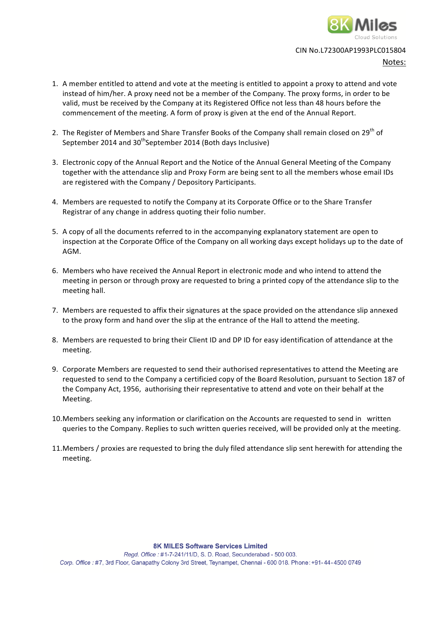

#### CIN
No.L72300AP1993PLC015804

Notes:

- 1. A member entitled to attend and vote at the meeting is entitled to appoint a proxy to attend and vote instead of him/her. A proxy need not be a member of the Company. The proxy forms, in order to be valid, must be received by the Company at its Registered Office not less than 48 hours before the commencement of the meeting. A form of proxy is given at the end of the Annual Report.
- 2. The Register of Members and Share Transfer Books of the Company shall remain closed on 29<sup>th</sup> of September 2014 and 30<sup>th</sup>September 2014 (Both days Inclusive)
- 3. Electronic
copy
of
the
Annual
Report
and
the
Notice
of
the
Annual
General
Meeting
of
the
Company together with the attendance slip and Proxy Form are being sent to all the members whose email IDs are
registered
with
the
Company
/
Depository
Participants.
- 4. Members are requested to notify the Company at its Corporate Office or to the Share Transfer Registrar
of
any
change
in
address
quoting
their
folio
number.
- 5. A
copy
of
all
the
documents
referred
to
in
the
accompanying
explanatory
statement
are
open
to inspection at the Corporate Office of the Company on all working days except holidays up to the date of AGM.
- 6. Members who have received the Annual Report in electronic mode and who intend to attend the meeting in person or through proxy are requested to bring a printed copy of the attendance slip to the meeting
hall.
- 7. Members are requested to affix their signatures at the space provided on the attendance slip annexed to the proxy form and hand over the slip at the entrance of the Hall to attend the meeting.
- 8. Members are requested to bring their Client ID and DP ID for easy identification of attendance at the meeting.
- 9. Corporate Members are requested to send their authorised representatives to attend the Meeting are requested to send to the Company a certificied copy of the Board Resolution, pursuant to Section 187 of the Company Act, 1956, authorising their representative to attend and vote on their behalf at the Meeting.
- 10. Members seeking any information or clarification on the Accounts are requested to send in written queries to the Company. Replies to such written queries received, will be provided only at the meeting.
- 11. Members / proxies are requested to bring the duly filed attendance slip sent herewith for attending the meeting.